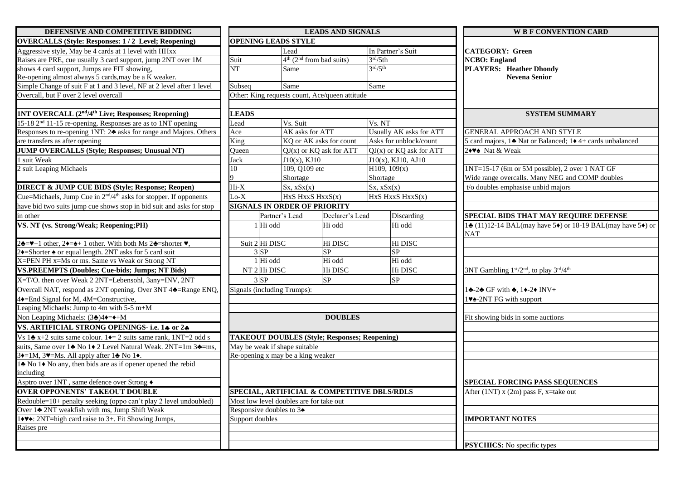| DEFENSIVE AND COMPETITIVE BIDDING                                                                                                      | <b>LEADS AND SIGNALS</b>                             |                                                |                 |                                             | <b>W B F CONVENTION CARD</b>                                                         |  |  |  |
|----------------------------------------------------------------------------------------------------------------------------------------|------------------------------------------------------|------------------------------------------------|-----------------|---------------------------------------------|--------------------------------------------------------------------------------------|--|--|--|
| <b>OVERCALLS (Style: Responses: 1/2 Level; Reopening)</b>                                                                              | <b>OPENING LEADS STYLE</b>                           |                                                |                 |                                             |                                                                                      |  |  |  |
| Aggressive style, May be 4 cards at 1 level with HHxx                                                                                  |                                                      | Lead                                           |                 | In Partner's Suit                           | <b>CATEGORY: Green</b><br><b>NCBO</b> : England<br><b>PLAYERS: Heather Dhondy</b>    |  |  |  |
| Raises are PRE, cue usually 3 card support, jump 2NT over 1M                                                                           | Suit                                                 | $4th$ (2 <sup>nd</sup> from bad suits)         |                 | 3 <sup>rd</sup> /5th                        |                                                                                      |  |  |  |
| shows 4 card support, Jumps are FIT showing,                                                                                           | NT                                                   | Same                                           |                 | 3 <sup>rd</sup> /5 <sup>th</sup>            |                                                                                      |  |  |  |
| Re-opening almost always 5 cards, may be a K weaker.                                                                                   |                                                      |                                                |                 |                                             | <b>Nevena Senior</b>                                                                 |  |  |  |
| Simple Change of suit F at 1 and 3 level, NF at 2 level after 1 level                                                                  | Subseq                                               | Same                                           |                 | Same                                        |                                                                                      |  |  |  |
| Overcall, but F over 2 level overcall                                                                                                  |                                                      | Other: King requests count, Ace/queen attitude |                 |                                             |                                                                                      |  |  |  |
|                                                                                                                                        |                                                      |                                                |                 |                                             |                                                                                      |  |  |  |
| 1NT OVERCALL (2 <sup>nd</sup> /4 <sup>th</sup> Live; Responses; Reopening)                                                             | <b>LEADS</b>                                         |                                                |                 |                                             | <b>SYSTEM SUMMARY</b>                                                                |  |  |  |
| 15-18 2 <sup>nd</sup> 11-15 re-opening. Responses are as to 1NT opening                                                                | Lead                                                 | Vs. Suit                                       |                 | Vs. NT                                      |                                                                                      |  |  |  |
| Responses to re-opening 1NT: 2♣ asks for range and Majors. Others                                                                      | Ace                                                  | AK asks for ATT                                |                 | Usually AK asks for ATT                     | GENERAL APPROACH AND STYLE                                                           |  |  |  |
| are transfers as after opening                                                                                                         | King                                                 | KQ or AK asks for count                        |                 | Asks for unblock/count                      | 5 card majors, 14 Nat or Balanced; 14 4+ cards unbalanced                            |  |  |  |
| <b>JUMP OVERCALLS (Style; Responses; Unusual NT)</b>                                                                                   | Queen                                                | $QJ(x)$ or $KQ$ ask for ATT                    |                 | $QJ(x)$ or $KQ$ ask for ATT                 | 2◆♥◆ Nat & Weak                                                                      |  |  |  |
| 1 suit Weak                                                                                                                            | Jack                                                 | $J10(x)$ , KJ10                                |                 | J10(x), KJ10, AJ10                          |                                                                                      |  |  |  |
| 2 suit Leaping Michaels                                                                                                                | 10                                                   | 109, Q109 etc                                  |                 | H109, 109(x)                                | 1NT=15-17 (6m or 5M possible), 2 over 1 NAT GF                                       |  |  |  |
|                                                                                                                                        |                                                      | Shortage                                       |                 | Shortage                                    | Wide range overcalls. Many NEG and COMP doubles                                      |  |  |  |
| <b>DIRECT &amp; JUMP CUE BIDS (Style; Response; Reopen)</b>                                                                            | $Hi-X$                                               | Sx, xSx(x)                                     |                 | Sx, xSx(x)                                  | t/o doubles emphasise unbid majors                                                   |  |  |  |
| Cue=Michaels, Jump Cue in 2 <sup>nd</sup> /4 <sup>th</sup> asks for stopper. If opponents                                              | $Lo-X$                                               | HxS HxxS HxxS(x)                               |                 | HxS HxxS HxxS(x)                            |                                                                                      |  |  |  |
| have bid two suits jump cue shows stop in bid suit and asks for stop                                                                   |                                                      | <b>SIGNALS IN ORDER OF PRIORITY</b>            |                 |                                             |                                                                                      |  |  |  |
| in other                                                                                                                               |                                                      | Partner's Lead                                 | Declarer's Lead | Discarding                                  | SPECIAL BIDS THAT MAY REQUIRE DEFENSE                                                |  |  |  |
| VS. NT (vs. Strong/Weak; Reopening;PH)                                                                                                 | Hi odd                                               |                                                | Hi odd          | Hi odd                                      | 14 (11)12-14 BAL(may have 5 <sup>*</sup> ) or 18-19 BAL(may have 5 <sup>*</sup> ) or |  |  |  |
|                                                                                                                                        |                                                      |                                                |                 |                                             | <b>NAT</b>                                                                           |  |  |  |
| $2\clubsuit$ = $\blacktriangleright$ +1 other, $2\blacklozenge$ + 1 other. With both Ms 2 $\clubsuit$ =shorter $\blacktriangleright$ , | Suit 2 Hi DISC                                       |                                                | Hi DISC         | Hi DISC                                     |                                                                                      |  |  |  |
| 2+=Shorter $\triangle$ or equal length. 2NT asks for 5 card suit                                                                       | $3$ SP                                               |                                                | SP              | SP                                          |                                                                                      |  |  |  |
| X=PEN PH x=Ms or ms. Same vs Weak or Strong NT                                                                                         | Hi odd                                               |                                                | Hi odd          | Hi odd                                      |                                                                                      |  |  |  |
| <b>VS.PREEMPTS (Doubles; Cue-bids; Jumps; NT Bids)</b>                                                                                 | $NT$ 2 Hi DISC                                       |                                                | Hi DISC         | Hi DISC                                     | 3NT Gambling 1st/2nd, to play 3rd/4th                                                |  |  |  |
| X=T/O. then over Weak 2 2NT=Lebensohl, 3any=INV, 2NT                                                                                   | $3$ $SP$                                             | SP                                             |                 | SP                                          |                                                                                      |  |  |  |
| Overcall NAT, respond as 2NT opening. Over 3NT 44=Range ENQ,                                                                           | Signals (including Trumps):                          |                                                |                 |                                             | $1\clubsuit$ -2 $\clubsuit$ GF with $\clubsuit$ , $1\spadesuit$ -2 $\spadesuit$ INV+ |  |  |  |
| 4♦=End Signal for M, 4M=Constructive,                                                                                                  |                                                      |                                                |                 |                                             | 1V <sup>2</sup> -2NT FG with support                                                 |  |  |  |
| Leaping Michaels: Jump to 4m with 5-5 m+M                                                                                              |                                                      |                                                |                 |                                             |                                                                                      |  |  |  |
| Non Leaping Michaels: (3♣)4♦=♦+M                                                                                                       |                                                      |                                                | <b>DOUBLES</b>  |                                             | Fit showing bids in some auctions                                                    |  |  |  |
| VS. ARTIFICIAL STRONG OPENINGS- i.e. 14 or 24                                                                                          |                                                      |                                                |                 |                                             |                                                                                      |  |  |  |
| Vs 1 $\triangle$ x+2 suits same colour. 1 $\triangle$ = 2 suits same rank, 1NT=2 odd s                                                 | <b>TAKEOUT DOUBLES (Style; Responses; Reopening)</b> |                                                |                 |                                             |                                                                                      |  |  |  |
| suits, Same over 1♣ No 1♦ 2 Level Natural Weak. 2NT=1m 3♣=ms,                                                                          |                                                      | May be weak if shape suitable                  |                 |                                             |                                                                                      |  |  |  |
| 3+=1M, 3. Ms. All apply after 1. No 1.                                                                                                 |                                                      | Re-opening x may be a king weaker              |                 |                                             |                                                                                      |  |  |  |
| 1♣ No 1♦ No any, then bids are as if opener opened the rebid                                                                           |                                                      |                                                |                 |                                             |                                                                                      |  |  |  |
| including                                                                                                                              |                                                      |                                                |                 |                                             |                                                                                      |  |  |  |
| Asptro over 1NT, same defence over Strong +                                                                                            |                                                      |                                                |                 |                                             | <b>SPECIAL FORCING PASS SEQUENCES</b>                                                |  |  |  |
| <b>OVER OPPONENTS' TAKEOUT DOUBLE</b>                                                                                                  |                                                      |                                                |                 | SPECIAL, ARTIFICIAL & COMPETITIVE DBLS/RDLS | After $(1NT)$ x $(2m)$ pass F, x=take out                                            |  |  |  |
| Redouble=10+ penalty seeking (oppo can't play 2 level undoubled)                                                                       |                                                      | Most low level doubles are for take out        |                 |                                             |                                                                                      |  |  |  |
| Over 1 <sup>2</sup> 2NT weakfish with ms, Jump Shift Weak                                                                              | Responsive doubles to 34                             |                                                |                 |                                             |                                                                                      |  |  |  |
| 1♦ V <sup>*</sup> : 2NT=high card raise to 3+. Fit Showing Jumps,                                                                      | Support doubles                                      |                                                |                 |                                             | <b>IMPORTANT NOTES</b>                                                               |  |  |  |
| Raises pre                                                                                                                             |                                                      |                                                |                 |                                             |                                                                                      |  |  |  |
|                                                                                                                                        |                                                      |                                                |                 |                                             |                                                                                      |  |  |  |
|                                                                                                                                        |                                                      |                                                |                 |                                             | <b>PSYCHICS:</b> No specific types                                                   |  |  |  |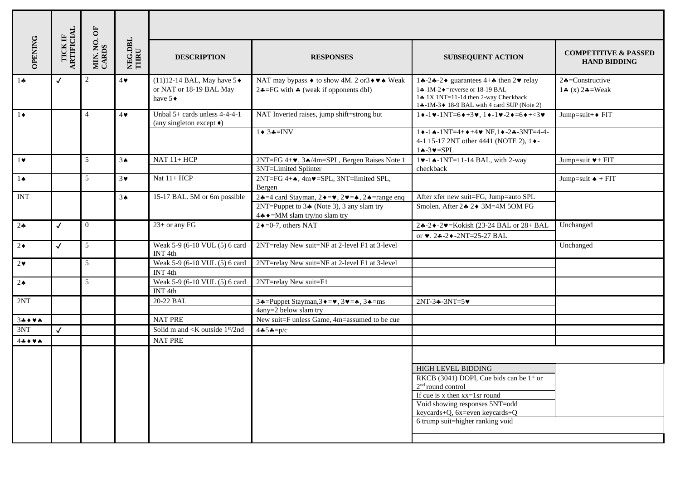|                      |                              | MIN. NO. OF<br>CARDS | NEG.DBL<br>THRU |                                                                              |                                                                                                                                                                                                                      |                                                                                                                                                                  |                                                        |  |  |  |
|----------------------|------------------------------|----------------------|-----------------|------------------------------------------------------------------------------|----------------------------------------------------------------------------------------------------------------------------------------------------------------------------------------------------------------------|------------------------------------------------------------------------------------------------------------------------------------------------------------------|--------------------------------------------------------|--|--|--|
| OPENING              | TICK IF<br>ARTIFICIAL        |                      |                 | <b>DESCRIPTION</b>                                                           | <b>RESPONSES</b>                                                                                                                                                                                                     | <b>SUBSEQUENT ACTION</b>                                                                                                                                         | <b>COMPETITIVE &amp; PASSED</b><br><b>HAND BIDDING</b> |  |  |  |
| $1 -$                | $\checkmark$                 | 2                    | $4\bullet$      | $(11)12-14$ BAL, May have $5\blacklozenge$                                   | NAT may bypass ♦ to show 4M. 2 or 3 + $\blacktriangleright$ Weak                                                                                                                                                     | 14-24-2♦ guarantees 4+4 then $2\blacktriangledown$ relay                                                                                                         | $2 \div =$ Constructive                                |  |  |  |
|                      |                              |                      |                 | or NAT or 18-19 BAL May<br>have $5\bullet$                                   | 2.4=FG with $\triangle$ (weak if opponents dbl)                                                                                                                                                                      | $1$ $\clubsuit$ -1M-2 $\blacklozenge$ = reverse or 18-19 BAL<br>14 1X 1NT=11-14 then 2-way Checkback<br>1.4-1M-3. ♦ 18-9 BAL with 4 card SUP (Note 2)            | 14 (x) $24 = Weak$                                     |  |  |  |
| $1\bullet$           | $\overline{4}$<br>$4\bullet$ |                      |                 | Unbal $5+$ cards unless $4-4-4-1$<br>(any singleton except $\blacklozenge$ ) | NAT Inverted raises, jump shift=strong but                                                                                                                                                                           | $1\bullet -1\vee -1NT=6\bullet +3\vee, 1\bullet -1\vee -2\bullet =6\bullet +3\vee$                                                                               | Jump=suit+◆ FIT                                        |  |  |  |
|                      |                              |                      |                 |                                                                              | $1 \bullet 3 \bullet = INV$                                                                                                                                                                                          | $1 \cdot -1 \cdot -1 N T = 4 + \cdot +4 \cdot N F$ , $1 \cdot -2 \cdot -3 N T = 4 -4 -$<br>4-1 15-17 2NT other 4441 (NOTE 2), 1 .<br>$1 \triangle -3 \vee =$ SPL |                                                        |  |  |  |
| $1$ v                |                              | 5                    | 3 <sub>•</sub>  | $NAT$ 11+ $HCP$                                                              | 2NT=FG 4+♥, 3▲/4m=SPL, Bergen Raises Note 1<br>3NT=Limited Splinter                                                                                                                                                  | $1 \vee -1 \wedge -1 N T = 11 - 14 BAL$ , with 2-way<br>checkback                                                                                                | Jump=suit $\Psi$ + FIT                                 |  |  |  |
| $1 \spadesuit$       |                              | 5                    | $3\vee$         | Nat 11+ HCP                                                                  | $2NT = FG$ 4+ $\spadesuit$ , 4m $\blacktriangledown$ = SPL, 3NT=limited SPL,<br>Bergen                                                                                                                               |                                                                                                                                                                  | Jump=suit $\triangle + FIT$                            |  |  |  |
| <b>INT</b>           |                              |                      | 3 <sub>•</sub>  | 15-17 BAL. 5M or 6m possible                                                 | 24=4 card Stayman, $2 \rightarrow -\bullet$ , $2 \rightarrow -\bullet$ , $2 \rightarrow -\text{range}$ eng<br>2NT=Puppet to $3\clubsuit$ (Note 3), 3 any slam try<br>4.4 $\triangleleft$ ⇒ = MM slam try/no slam try | After xfer new suit=FG, Jump=auto SPL<br>Smolen. After 2∗ 2◆ 3M=4M 5OM FG                                                                                        |                                                        |  |  |  |
| $2 -$                | $\checkmark$                 | $\overline{0}$       |                 | $23+$ or any FG                                                              | $2 \div 50-7$ , others NAT                                                                                                                                                                                           | 24-2♦-2♥=Kokish (23-24 BAL or 28+ BAL<br>or $\vee$ . 24-2 $\vee$ -2NT=25-27 BAL                                                                                  | Unchanged                                              |  |  |  |
| $2\bullet$           | $\checkmark$                 | 5                    |                 | Weak 5-9 (6-10 VUL (5) 6 card<br>INT <sub>4th</sub>                          | 2NT=relay New suit=NF at 2-level F1 at 3-level                                                                                                                                                                       |                                                                                                                                                                  | Unchanged                                              |  |  |  |
| $2\bullet$           |                              | 5                    |                 | Weak 5-9 (6-10 VUL (5) 6 card<br>INT <sub>4th</sub>                          | 2NT=relay New suit=NF at 2-level F1 at 3-level                                                                                                                                                                       |                                                                                                                                                                  |                                                        |  |  |  |
| $2\spadesuit$        |                              | 5                    |                 | Weak 5-9 (6-10 VUL (5) 6 card<br>INT <sub>4th</sub>                          | 2NT=relay New suit=F1                                                                                                                                                                                                |                                                                                                                                                                  |                                                        |  |  |  |
| 2NT                  |                              |                      |                 | 20-22 BAL                                                                    | 34=Puppet Stayman, $3 \rightarrow w$ , $3 \rightarrow w$ = $\rightarrow$ , $3 \rightarrow w$ = ms<br>4any=2 below slam try                                                                                           | $2NT - 3 - 3NT = 5$                                                                                                                                              |                                                        |  |  |  |
| 34444                |                              |                      |                 | <b>NAT PRE</b>                                                               | New suit=F unless Game, 4m=assumed to be cue                                                                                                                                                                         |                                                                                                                                                                  |                                                        |  |  |  |
| 3NT                  | $\checkmark$                 |                      |                 | Solid m and $\langle K \text{ outside } 1\text{st}/2 \text{nd} \rangle$      | 4454= $p/c$                                                                                                                                                                                                          |                                                                                                                                                                  |                                                        |  |  |  |
| $44$ + $4$ $\bullet$ |                              |                      |                 | <b>NAT PRE</b>                                                               |                                                                                                                                                                                                                      |                                                                                                                                                                  |                                                        |  |  |  |
|                      |                              |                      |                 |                                                                              |                                                                                                                                                                                                                      |                                                                                                                                                                  |                                                        |  |  |  |
|                      |                              |                      |                 |                                                                              |                                                                                                                                                                                                                      | HIGH LEVEL BIDDING                                                                                                                                               |                                                        |  |  |  |
|                      |                              |                      |                 |                                                                              |                                                                                                                                                                                                                      | RKCB (3041) DOPI, Cue bids can be 1 <sup>st</sup> or                                                                                                             |                                                        |  |  |  |
|                      |                              |                      |                 |                                                                              |                                                                                                                                                                                                                      | 2 <sup>nd</sup> round control<br>If cue is x then $xx=1$ sr round                                                                                                |                                                        |  |  |  |
|                      |                              |                      |                 |                                                                              |                                                                                                                                                                                                                      | Void showing responses 5NT=odd                                                                                                                                   |                                                        |  |  |  |
|                      |                              |                      |                 |                                                                              |                                                                                                                                                                                                                      | keycards+Q, 6x=even keycards+Q                                                                                                                                   |                                                        |  |  |  |
|                      |                              |                      |                 |                                                                              |                                                                                                                                                                                                                      | 6 trump suit=higher ranking void                                                                                                                                 |                                                        |  |  |  |
|                      |                              |                      |                 |                                                                              |                                                                                                                                                                                                                      |                                                                                                                                                                  |                                                        |  |  |  |